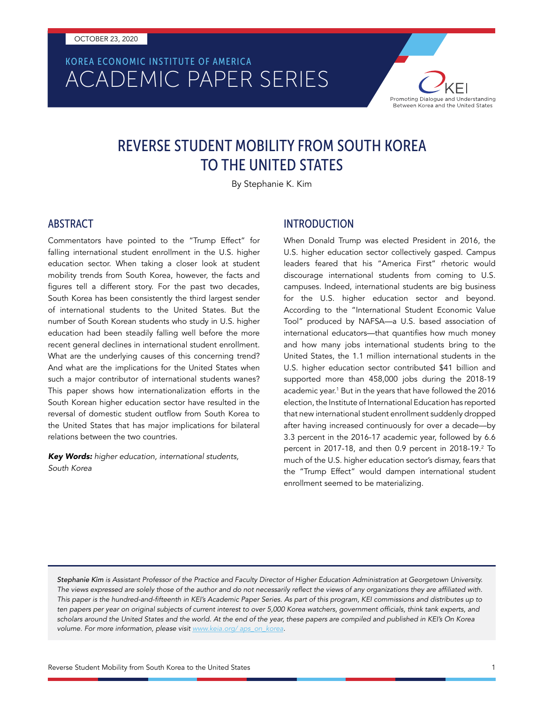# ACADEMIC PAPER SERIES KOREA ECONOMIC INSTITUTE OF AMERICA



# REVERSE STUDENT MOBILITY FROM SOUTH KOREA TO THE UNITED STATES

By Stephanie K. Kim

#### ABSTRACT

Commentators have pointed to the "Trump Effect" for falling international student enrollment in the U.S. higher education sector. When taking a closer look at student mobility trends from South Korea, however, the facts and figures tell a different story. For the past two decades, South Korea has been consistently the third largest sender of international students to the United States. But the number of South Korean students who study in U.S. higher education had been steadily falling well before the more recent general declines in international student enrollment. What are the underlying causes of this concerning trend? And what are the implications for the United States when such a major contributor of international students wanes? This paper shows how internationalization efforts in the South Korean higher education sector have resulted in the reversal of domestic student outflow from South Korea to the United States that has major implications for bilateral relations between the two countries.

*Key Words: higher education, international students, South Korea*

#### INTRODUCTION

When Donald Trump was elected President in 2016, the U.S. higher education sector collectively gasped. Campus leaders feared that his "America First" rhetoric would discourage international students from coming to U.S. campuses. Indeed, international students are big business for the U.S. higher education sector and beyond. According to the "International Student Economic Value Tool" produced by NAFSA—a U.S. based association of international educators—that quantifies how much money and how many jobs international students bring to the United States, the 1.1 million international students in the U.S. higher education sector contributed \$41 billion and supported more than 458,000 jobs during the 2018-19 academic year.<sup>1</sup> But in the years that have followed the 2016 election, the Institute of International Education has reported that new international student enrollment suddenly dropped after having increased continuously for over a decade—by 3.3 percent in the 2016-17 academic year, followed by 6.6 percent in 2017-18, and then 0.9 percent in 2018-19.<sup>2</sup> To much of the U.S. higher education sector's dismay, fears that the "Trump Effect" would dampen international student enrollment seemed to be materializing.

*Stephanie Kim is Assistant Professor of the Practice and Faculty Director of Higher Education Administration at Georgetown University.*  The views expressed are solely those of the author and do not necessarily reflect the views of any organizations they are affiliated with. This paper is the hundred-and-fifteenth in KEI's Academic Paper Series. As part of this program, KEI commissions and distributes up to ten papers per year on original subjects of current interest to over 5,000 Korea watchers, government officials, think tank experts, and scholars around the United States and the world. At the end of the year, these papers are compiled and published in KEI's On Korea *volume. For more information, please visit [www.keia.org/ aps\\_on\\_korea](http://www.keia.org/ aps_on_korea).*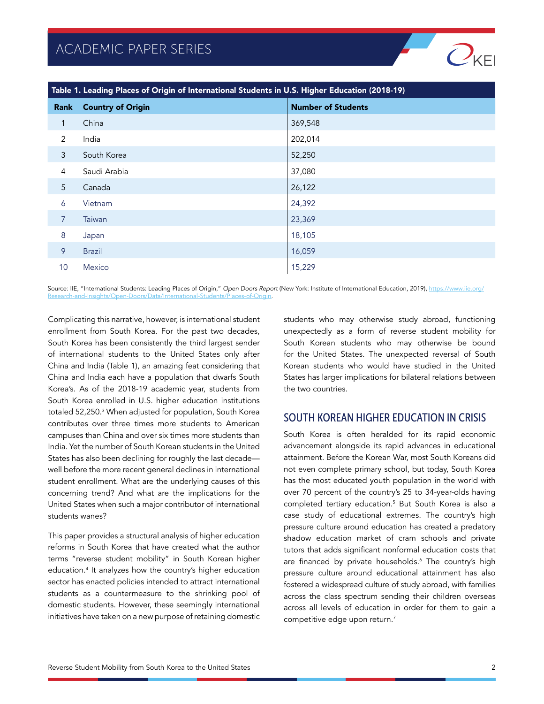

| Table 1. Leading Places of Origin of International Students in U.S. Higher Education (2018-19) |                          |                           |
|------------------------------------------------------------------------------------------------|--------------------------|---------------------------|
| Rank                                                                                           | <b>Country of Origin</b> | <b>Number of Students</b> |
| $\mathbf{1}$                                                                                   | China                    | 369,548                   |
| 2                                                                                              | India                    | 202,014                   |
| 3                                                                                              | South Korea              | 52,250                    |
| 4                                                                                              | Saudi Arabia             | 37,080                    |
| 5                                                                                              | Canada                   | 26,122                    |
| 6                                                                                              | Vietnam                  | 24,392                    |
| $\overline{7}$                                                                                 | <b>Taiwan</b>            | 23,369                    |
| 8                                                                                              | Japan                    | 18,105                    |
| 9                                                                                              | <b>Brazil</b>            | 16,059                    |
| 10                                                                                             | <b>Mexico</b>            | 15,229                    |

Source: IIE, "International Students: Leading Places of Origin," Open Doors Report (New York: Institute of International Education, 2019), [https://www.iie.org/](https://www.iie.org/Research-and-Insights/Open-Doors/Data/International-Students/Places-of-Origin) [Research-and-Insights/Open-Doors/Data/International-Students/Places-of-Origin](https://www.iie.org/Research-and-Insights/Open-Doors/Data/International-Students/Places-of-Origin).

Complicating this narrative, however, is international student enrollment from South Korea. For the past two decades, South Korea has been consistently the third largest sender of international students to the United States only after China and India (Table 1), an amazing feat considering that China and India each have a population that dwarfs South Korea's. As of the 2018-19 academic year, students from South Korea enrolled in U.S. higher education institutions totaled 52,250.3 When adjusted for population, South Korea contributes over three times more students to American campuses than China and over six times more students than India. Yet the number of South Korean students in the United States has also been declining for roughly the last decade well before the more recent general declines in international student enrollment. What are the underlying causes of this concerning trend? And what are the implications for the United States when such a major contributor of international students wanes?

This paper provides a structural analysis of higher education reforms in South Korea that have created what the author terms "reverse student mobility" in South Korean higher education.4 It analyzes how the country's higher education sector has enacted policies intended to attract international students as a countermeasure to the shrinking pool of domestic students. However, these seemingly international initiatives have taken on a new purpose of retaining domestic

students who may otherwise study abroad, functioning unexpectedly as a form of reverse student mobility for South Korean students who may otherwise be bound for the United States. The unexpected reversal of South Korean students who would have studied in the United States has larger implications for bilateral relations between the two countries.

#### SOUTH KOREAN HIGHER EDUCATION IN CRISIS

South Korea is often heralded for its rapid economic advancement alongside its rapid advances in educational attainment. Before the Korean War, most South Koreans did not even complete primary school, but today, South Korea has the most educated youth population in the world with over 70 percent of the country's 25 to 34-year-olds having completed tertiary education.5 But South Korea is also a case study of educational extremes. The country's high pressure culture around education has created a predatory shadow education market of cram schools and private tutors that adds significant nonformal education costs that are financed by private households.<sup>6</sup> The country's high pressure culture around educational attainment has also fostered a widespread culture of study abroad, with families across the class spectrum sending their children overseas across all levels of education in order for them to gain a competitive edge upon return.<sup>7</sup>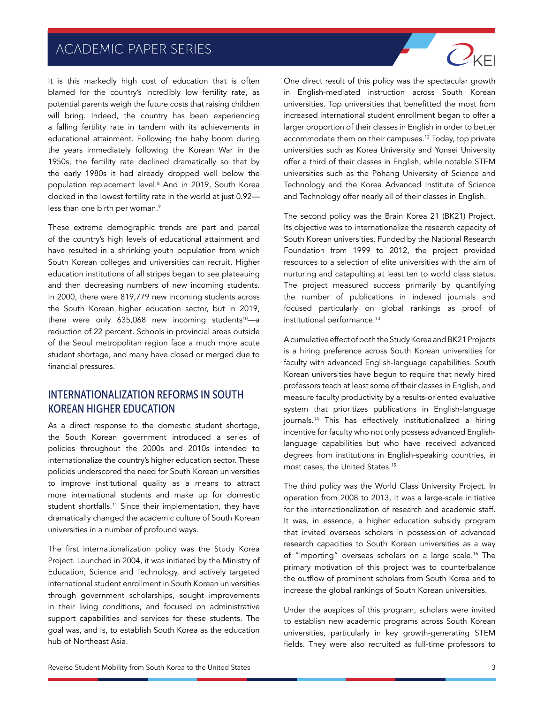It is this markedly high cost of education that is often blamed for the country's incredibly low fertility rate, as potential parents weigh the future costs that raising children will bring. Indeed, the country has been experiencing a falling fertility rate in tandem with its achievements in educational attainment. Following the baby boom during the years immediately following the Korean War in the 1950s, the fertility rate declined dramatically so that by the early 1980s it had already dropped well below the population replacement level.8 And in 2019, South Korea clocked in the lowest fertility rate in the world at just 0.92 less than one birth per woman.<sup>9</sup>

These extreme demographic trends are part and parcel of the country's high levels of educational attainment and have resulted in a shrinking youth population from which South Korean colleges and universities can recruit. Higher education institutions of all stripes began to see plateauing and then decreasing numbers of new incoming students. In 2000, there were 819,779 new incoming students across the South Korean higher education sector, but in 2019, there were only  $635,068$  new incoming students<sup>10</sup>-a reduction of 22 percent. Schools in provincial areas outside of the Seoul metropolitan region face a much more acute student shortage, and many have closed or merged due to financial pressures.

### INTERNATIONALIZATION REFORMS IN SOUTH KOREAN HIGHER EDUCATION

As a direct response to the domestic student shortage, the South Korean government introduced a series of policies throughout the 2000s and 2010s intended to internationalize the country's higher education sector. These policies underscored the need for South Korean universities to improve institutional quality as a means to attract more international students and make up for domestic student shortfalls.<sup>11</sup> Since their implementation, they have dramatically changed the academic culture of South Korean universities in a number of profound ways.

The first internationalization policy was the Study Korea Project. Launched in 2004, it was initiated by the Ministry of Education, Science and Technology, and actively targeted international student enrollment in South Korean universities through government scholarships, sought improvements in their living conditions, and focused on administrative support capabilities and services for these students. The goal was, and is, to establish South Korea as the education hub of Northeast Asia.

One direct result of this policy was the spectacular growth in English-mediated instruction across South Korean universities. Top universities that benefitted the most from increased international student enrollment began to offer a larger proportion of their classes in English in order to better accommodate them on their campuses.12 Today, top private universities such as Korea University and Yonsei University offer a third of their classes in English, while notable STEM universities such as the Pohang University of Science and Technology and the Korea Advanced Institute of Science and Technology offer nearly all of their classes in English.

 $Q_{\text{KF}}$ 

The second policy was the Brain Korea 21 (BK21) Project. Its objective was to internationalize the research capacity of South Korean universities. Funded by the National Research Foundation from 1999 to 2012, the project provided resources to a selection of elite universities with the aim of nurturing and catapulting at least ten to world class status. The project measured success primarily by quantifying the number of publications in indexed journals and focused particularly on global rankings as proof of institutional performance.<sup>13</sup>

A cumulative effect of both the Study Korea and BK21 Projects is a hiring preference across South Korean universities for faculty with advanced English-language capabilities. South Korean universities have begun to require that newly hired professors teach at least some of their classes in English, and measure faculty productivity by a results-oriented evaluative system that prioritizes publications in English-language journals.14 This has effectively institutionalized a hiring incentive for faculty who not only possess advanced Englishlanguage capabilities but who have received advanced degrees from institutions in English-speaking countries, in most cases, the United States.15

The third policy was the World Class University Project. In operation from 2008 to 2013, it was a large-scale initiative for the internationalization of research and academic staff. It was, in essence, a higher education subsidy program that invited overseas scholars in possession of advanced research capacities to South Korean universities as a way of "importing" overseas scholars on a large scale.16 The primary motivation of this project was to counterbalance the outflow of prominent scholars from South Korea and to increase the global rankings of South Korean universities.

Under the auspices of this program, scholars were invited to establish new academic programs across South Korean universities, particularly in key growth-generating STEM fields. They were also recruited as full-time professors to

Reverse Student Mobility from South Korea to the United States 3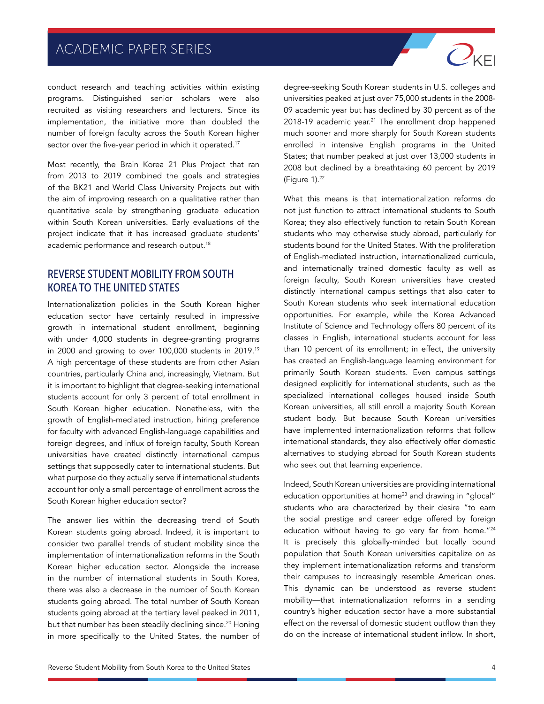conduct research and teaching activities within existing programs. Distinguished senior scholars were also recruited as visiting researchers and lecturers. Since its implementation, the initiative more than doubled the number of foreign faculty across the South Korean higher sector over the five-year period in which it operated.<sup>17</sup>

Most recently, the Brain Korea 21 Plus Project that ran from 2013 to 2019 combined the goals and strategies of the BK21 and World Class University Projects but with the aim of improving research on a qualitative rather than quantitative scale by strengthening graduate education within South Korean universities. Early evaluations of the project indicate that it has increased graduate students' academic performance and research output.<sup>18</sup>

### REVERSE STUDENT MOBILITY FROM SOUTH KOREA TO THE UNITED STATES

Internationalization policies in the South Korean higher education sector have certainly resulted in impressive growth in international student enrollment, beginning with under 4,000 students in degree-granting programs in 2000 and growing to over 100,000 students in 2019.19 A high percentage of these students are from other Asian countries, particularly China and, increasingly, Vietnam. But it is important to highlight that degree-seeking international students account for only 3 percent of total enrollment in South Korean higher education. Nonetheless, with the growth of English-mediated instruction, hiring preference for faculty with advanced English-language capabilities and foreign degrees, and influx of foreign faculty, South Korean universities have created distinctly international campus settings that supposedly cater to international students. But what purpose do they actually serve if international students account for only a small percentage of enrollment across the South Korean higher education sector?

The answer lies within the decreasing trend of South Korean students going abroad. Indeed, it is important to consider two parallel trends of student mobility since the implementation of internationalization reforms in the South Korean higher education sector. Alongside the increase in the number of international students in South Korea, there was also a decrease in the number of South Korean students going abroad. The total number of South Korean students going abroad at the tertiary level peaked in 2011, but that number has been steadily declining since.<sup>20</sup> Honing in more specifically to the United States, the number of

09 academic year but has declined by 30 percent as of the  $2018-19$  academic year.<sup>21</sup> The enrollment drop happened much sooner and more sharply for South Korean students enrolled in intensive English programs in the United States; that number peaked at just over 13,000 students in 2008 but declined by a breathtaking 60 percent by 2019 (Figure 1).<sup>22</sup> What this means is that internationalization reforms do not just function to attract international students to South

degree-seeking South Korean students in U.S. colleges and universities peaked at just over 75,000 students in the 2008-

 $\overline{O_{\rm KFI}}$ 

Korea; they also effectively function to retain South Korean students who may otherwise study abroad, particularly for students bound for the United States. With the proliferation of English-mediated instruction, internationalized curricula, and internationally trained domestic faculty as well as foreign faculty, South Korean universities have created distinctly international campus settings that also cater to South Korean students who seek international education opportunities. For example, while the Korea Advanced Institute of Science and Technology offers 80 percent of its classes in English, international students account for less than 10 percent of its enrollment; in effect, the university has created an English-language learning environment for primarily South Korean students. Even campus settings designed explicitly for international students, such as the specialized international colleges housed inside South Korean universities, all still enroll a majority South Korean student body. But because South Korean universities have implemented internationalization reforms that follow international standards, they also effectively offer domestic alternatives to studying abroad for South Korean students who seek out that learning experience.

Indeed, South Korean universities are providing international education opportunities at home<sup>23</sup> and drawing in "glocal" students who are characterized by their desire "to earn the social prestige and career edge offered by foreign education without having to go very far from home."<sup>24</sup> It is precisely this globally-minded but locally bound population that South Korean universities capitalize on as they implement internationalization reforms and transform their campuses to increasingly resemble American ones. This dynamic can be understood as reverse student mobility—that internationalization reforms in a sending country's higher education sector have a more substantial effect on the reversal of domestic student outflow than they do on the increase of international student inflow. In short,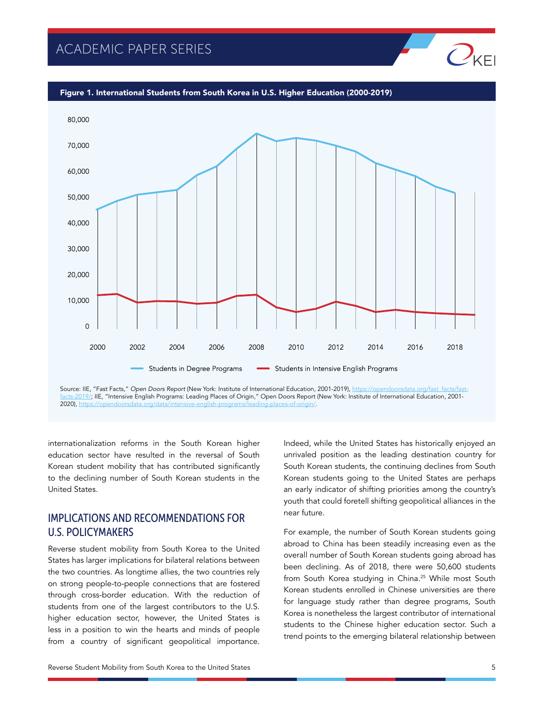

[facts-2019/;](https://opendoorsdata.org/fast_facts/fast-facts-2019/) IIE, "Intensive English Programs: Leading Places of Origin," Open Doors Report (New York: Institute of International Education, 2001-  $2020$ ), https://o

internationalization reforms in the South Korean higher education sector have resulted in the reversal of South Korean student mobility that has contributed significantly to the declining number of South Korean students in the United States.

### IMPLICATIONS AND RECOMMENDATIONS FOR U.S. POLICYMAKERS

Reverse student mobility from South Korea to the United States has larger implications for bilateral relations between the two countries. As longtime allies, the two countries rely on strong people-to-people connections that are fostered through cross-border education. With the reduction of students from one of the largest contributors to the U.S. higher education sector, however, the United States is less in a position to win the hearts and minds of people from a country of significant geopolitical importance.

Indeed, while the United States has historically enjoyed an unrivaled position as the leading destination country for South Korean students, the continuing declines from South Korean students going to the United States are perhaps an early indicator of shifting priorities among the country's youth that could foretell shifting geopolitical alliances in the near future.

For example, the number of South Korean students going abroad to China has been steadily increasing even as the overall number of South Korean students going abroad has been declining. As of 2018, there were 50,600 students from South Korea studying in China.25 While most South Korean students enrolled in Chinese universities are there for language study rather than degree programs, South Korea is nonetheless the largest contributor of international students to the Chinese higher education sector. Such a trend points to the emerging bilateral relationship between

 $Q_{\text{KF}}$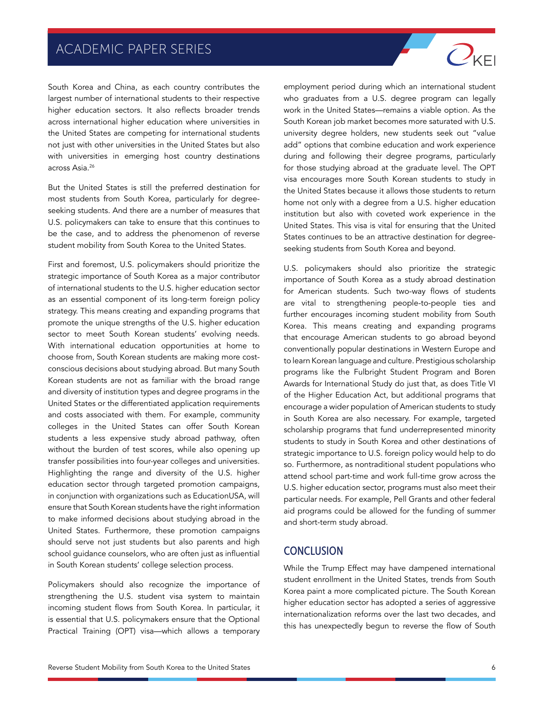South Korea and China, as each country contributes the largest number of international students to their respective higher education sectors. It also reflects broader trends across international higher education where universities in the United States are competing for international students not just with other universities in the United States but also with universities in emerging host country destinations across Asia.26

But the United States is still the preferred destination for most students from South Korea, particularly for degreeseeking students. And there are a number of measures that U.S. policymakers can take to ensure that this continues to be the case, and to address the phenomenon of reverse student mobility from South Korea to the United States.

First and foremost, U.S. policymakers should prioritize the strategic importance of South Korea as a major contributor of international students to the U.S. higher education sector as an essential component of its long-term foreign policy strategy. This means creating and expanding programs that promote the unique strengths of the U.S. higher education sector to meet South Korean students' evolving needs. With international education opportunities at home to choose from, South Korean students are making more costconscious decisions about studying abroad. But many South Korean students are not as familiar with the broad range and diversity of institution types and degree programs in the United States or the differentiated application requirements and costs associated with them. For example, community colleges in the United States can offer South Korean students a less expensive study abroad pathway, often without the burden of test scores, while also opening up transfer possibilities into four-year colleges and universities. Highlighting the range and diversity of the U.S. higher education sector through targeted promotion campaigns, in conjunction with organizations such as EducationUSA, will ensure that South Korean students have the right information to make informed decisions about studying abroad in the United States. Furthermore, these promotion campaigns should serve not just students but also parents and high school guidance counselors, who are often just as influential in South Korean students' college selection process.

Policymakers should also recognize the importance of strengthening the U.S. student visa system to maintain incoming student flows from South Korea. In particular, it is essential that U.S. policymakers ensure that the Optional Practical Training (OPT) visa—which allows a temporary

employment period during which an international student who graduates from a U.S. degree program can legally work in the United States—remains a viable option. As the South Korean job market becomes more saturated with U.S. university degree holders, new students seek out "value add" options that combine education and work experience during and following their degree programs, particularly for those studying abroad at the graduate level. The OPT visa encourages more South Korean students to study in the United States because it allows those students to return home not only with a degree from a U.S. higher education institution but also with coveted work experience in the United States. This visa is vital for ensuring that the United States continues to be an attractive destination for degreeseeking students from South Korea and beyond.

 $O_{\text{KE}}$ 

U.S. policymakers should also prioritize the strategic importance of South Korea as a study abroad destination for American students. Such two-way flows of students are vital to strengthening people-to-people ties and further encourages incoming student mobility from South Korea. This means creating and expanding programs that encourage American students to go abroad beyond conventionally popular destinations in Western Europe and to learn Korean language and culture. Prestigious scholarship programs like the Fulbright Student Program and Boren Awards for International Study do just that, as does Title VI of the Higher Education Act, but additional programs that encourage a wider population of American students to study in South Korea are also necessary. For example, targeted scholarship programs that fund underrepresented minority students to study in South Korea and other destinations of strategic importance to U.S. foreign policy would help to do so. Furthermore, as nontraditional student populations who attend school part-time and work full-time grow across the U.S. higher education sector, programs must also meet their particular needs. For example, Pell Grants and other federal aid programs could be allowed for the funding of summer and short-term study abroad.

#### **CONCLUSION**

While the Trump Effect may have dampened international student enrollment in the United States, trends from South Korea paint a more complicated picture. The South Korean higher education sector has adopted a series of aggressive internationalization reforms over the last two decades, and this has unexpectedly begun to reverse the flow of South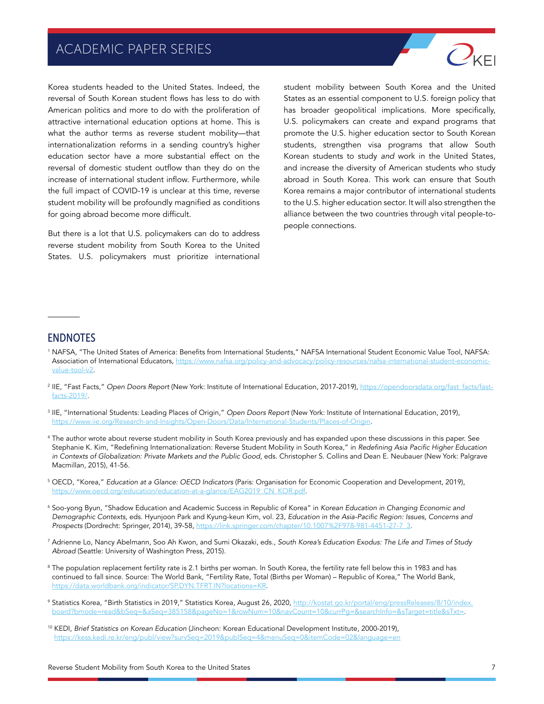

Korea students headed to the United States. Indeed, the reversal of South Korean student flows has less to do with American politics and more to do with the proliferation of attractive international education options at home. This is what the author terms as reverse student mobility—that internationalization reforms in a sending country's higher education sector have a more substantial effect on the reversal of domestic student outflow than they do on the increase of international student inflow. Furthermore, while the full impact of COVID-19 is unclear at this time, reverse student mobility will be profoundly magnified as conditions for going abroad become more difficult.

But there is a lot that U.S. policymakers can do to address reverse student mobility from South Korea to the United States. U.S. policymakers must prioritize international

student mobility between South Korea and the United States as an essential component to U.S. foreign policy that has broader geopolitical implications. More specifically, U.S. policymakers can create and expand programs that promote the U.S. higher education sector to South Korean students, strengthen visa programs that allow South Korean students to study *and* work in the United States, and increase the diversity of American students who study abroad in South Korea. This work can ensure that South Korea remains a major contributor of international students to the U.S. higher education sector. It will also strengthen the alliance between the two countries through vital people-topeople connections.

#### ENDNOTES

- <sup>1</sup> NAFSA, "The United States of America: Benefits from International Students," NAFSA International Student Economic Value Tool, NAFSA: Association of International Educators, [https://www.nafsa.org/policy-and-advocacy/policy-resources/nafsa-international-student-economic](https://www.nafsa.org/policy-and-advocacy/policy-resources/nafsa-international-student-economic-value-tool-v2)[value-tool-v2](https://www.nafsa.org/policy-and-advocacy/policy-resources/nafsa-international-student-economic-value-tool-v2).
- <sup>2</sup> IIE, "Fast Facts," Open Doors Report (New York: Institute of International Education, 2017-2019), [https://opendoorsdata.org/fast\\_facts/fast](https://opendoorsdata.org/fast_facts/fast-facts-2019/)[facts-2019/](https://opendoorsdata.org/fast_facts/fast-facts-2019/).
- <sup>3</sup> IIE, "International Students: Leading Places of Origin," Open Doors Report (New York: Institute of International Education, 2019), <https://www.iie.org/Research-and-Insights/Open-Doors/Data/International-Students/Places-of-Origin>.
- <sup>4</sup> The author wrote about reverse student mobility in South Korea previously and has expanded upon these discussions in this paper. See Stephanie K. Kim, "Redefining Internationalization: Reverse Student Mobility in South Korea," in Redefining Asia Pacific Higher Education in Contexts of Globalization: Private Markets and the Public Good, eds. Christopher S. Collins and Dean E. Neubauer (New York: Palgrave Macmillan, 2015), 41-56.
- <sup>5</sup> OECD, "Korea," Education at a Glance: OECD Indicators (Paris: Organisation for Economic Cooperation and Development, 2019), [https://www.oecd.org/education/education-at-a-glance/EAG2019\\_CN\\_KOR.pdf](https://www.oecd.org/education/education-at-a-glance/EAG2019_CN_KOR.pdf).
- <sup>6</sup> Soo-yong Byun, "Shadow Education and Academic Success in Republic of Korea" in *Korean Education in Changing Economic and Demographic Contexts,* eds. Hyunjoon Park and Kyung-keun Kim, vol. 23, Education in the Asia-Pacific Region: Issues, Concerns and *Prospects* (Dordrecht: Springer, 2014), 39-58, [https://link.springer.com/chapter/10.1007%2F978-981-4451-27-7\\_3](https://link.springer.com/chapter/10.1007%2F978-981-4451-27-7_3).
- <sup>7</sup> Adrienne Lo, Nancy Abelmann, Soo Ah Kwon, and Sumi Okazaki, eds., South Korea's Education Exodus: The Life and Times of Study Abroad (Seattle: University of Washington Press, 2015).
- <sup>8</sup> The population replacement fertility rate is 2.1 births per woman. In South Korea, the fertility rate fell below this in 1983 and has continued to fall since. Source: The World Bank, "Fertility Rate, Total (Births per Woman) – Republic of Korea," The World Bank, <https://data.worldbank.org/indicator/SP.DYN.TFRT.IN?locations=KR>.
- 9 Statistics Korea, "Birth Statistics in 2019," Statistics Korea, August 26, 2020, [http://kostat.go.kr/portal/eng/pressReleases/8/10/index.](http://kostat.go.kr/portal/eng/pressReleases/8/10/index.board?bmode=read&bSeq=&aSeq=385158&pageNo=1&rowNum=10&navCount=10&currPg=&searchInfo=&sTarget=title&sTxt=) [board?bmode=read&bSeq=&aSeq=385158&pageNo=1&rowNum=10&navCount=10&currPg=&searchInfo=&sTarget=title&sTxt=](http://kostat.go.kr/portal/eng/pressReleases/8/10/index.board?bmode=read&bSeq=&aSeq=385158&pageNo=1&rowNum=10&navCount=10&currPg=&searchInfo=&sTarget=title&sTxt=).
- <sup>10</sup> KEDI, *Brief Statistics on Korean Education* (Jincheon: Korean Educational Development Institute, 2000-2019), <https://kess.kedi.re.kr/eng/publ/view?survSeq=2019&publSeq=4&menuSeq=0&itemCode=02&language=en>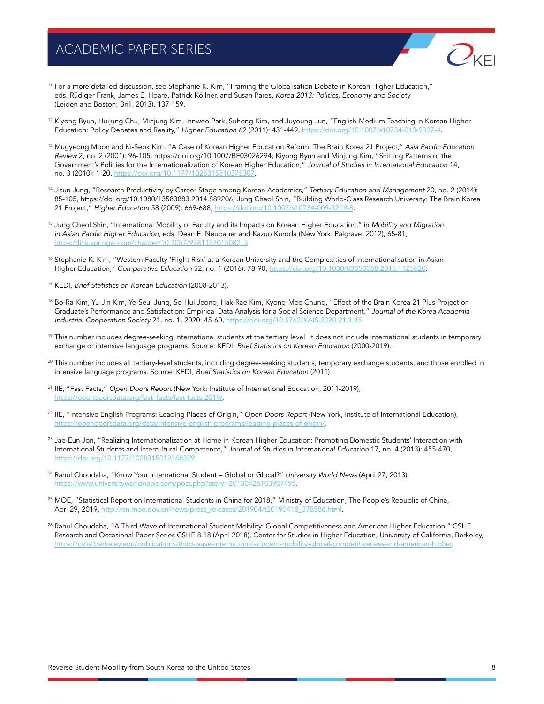

- <sup>11</sup> For a more detailed discussion, see Stephanie K. Kim, "Framing the Globalisation Debate in Korean Higher Education," eds. Rüdiger Frank, James E. Hoare, Patrick Köllner, and Susan Pares, Korea 2013: Politics, Economy and Society (Leiden and Boston: Brill, 2013), 137-159.
- <sup>12</sup> Kiyong Byun, Huijung Chu, Minjung Kim, Innwoo Park, Suhong Kim, and Juyoung Jun, "English-Medium Teaching in Korean Higher Education: Policy Debates and Reality," *Higher Education* 62 (2011): 431-449,<https://doi.org/10.1007/s10734-010-9397-4>.
- <sup>13</sup> Mugyeong Moon and Ki-Seok Kim, "A Case of Korean Higher Education Reform: The Brain Korea 21 Project," Asia Pacific Education Review 2, no. 2 (2001): 96-105, https://doi.org/10.1007/BF03026294; Kiyong Byun and Minjung Kim, "Shifting Patterns of the Government's Policies for the Internationalization of Korean Higher Education," Journal of Studies in International Education 14, no. 3 (2010): 1-20, [https://doi.org/10.1177/1028315310375307.](https://doi.org/10.1177/1028315310375307)
- <sup>14</sup> Jisun Jung, "Research Productivity by Career Stage among Korean Academics," Tertiary Education and Management 20, no. 2 (2014): 85-105, https://doi.org/10.1080/13583883.2014.889206; Jung Cheol Shin, "Building World-Class Research University: The Brain Korea 21 Project," *Higher Education* 58 (2009): 669-688, [https://doi.org/10.1007/s10734-009-9219-8.](https://doi.org/10.1007/s10734-009-9219-8)
- <sup>15</sup> Jung Cheol Shin, "International Mobility of Faculty and its Impacts on Korean Higher Education," in Mobility and Migration in Asian Pacific Higher Education, eds. Dean E. Neubauer and Kazuo Kuroda (New York: Palgrave, 2012), 65-81, [https://link.springer.com/chapter/10.1057/9781137015082\\_5](https://link.springer.com/chapter/10.1057/9781137015082_5).
- <sup>16</sup> Stephanie K. Kim, "Western Faculty 'Flight Risk' at a Korean University and the Complexities of Internationalisation in Asian Higher Education," *Comparative Education* 52, no. 1 (2016): 78-90,<https://doi.org/10.1080/03050068.2015.1125620>.
- <sup>17</sup> KEDI, *Brief Statistics on Korean Education* (2008-2013).
- 18 Bo-Ra Kim, Yu-Jin Kim, Ye-Seul Jung, So-Hui Jeong, Hak-Rae Kim, Kyong-Mee Chung, "Effect of the Brain Korea 21 Plus Project on Graduate's Performance and Satisfaction: Empirical Data Analysis for a Social Science Department," *Journal of the Korea Academia-*Industrial Cooperation Society 21, no. 1, 2020: 45-60, [https://doi.org/10.5762/KAIS.2020.21.1.45.](https://doi.org/10.5762/KAIS.2020.21.1.45)
- <sup>19</sup> This number includes degree-seeking international students at the tertiary level. It does not include international students in temporary exchange or intensive language programs. Source: KEDI, *Brief Statistics on Korean Education* (2000-2019).
- <sup>20</sup> This number includes all tertiary-level students, including degree-seeking students, temporary exchange students, and those enrolled in intensive language programs. Source: KEDI, *Brief Statistics on Korean Education* (2011).
- <sup>21</sup> IIE, "Fast Facts," Open Doors Report (New York: Institute of International Education, 2011-2019), [https://opendoorsdata.org/fast\\_facts/fast-facts-2019/.](https://opendoorsdata.org/fast_facts/fast-facts-2019/)
- <sup>22</sup> IIE, "Intensive English Programs: Leading Places of Origin," Open Doors Report (New York, Institute of International Education), [https://opendoorsdata.org/data/intensive-english-programs/leading-places-of-origin/.](https://opendoorsdata.org/data/intensive-english-programs/leading-places-of-origin/)
- <sup>23</sup> Jae-Eun Jon, "Realizing Internationalization at Home in Korean Higher Education: Promoting Domestic Students' Interaction with International Students and Intercultural Competence," Journal of Studies in International Education 17, no. 4 (2013): 455-470, [https://doi.org/10.1177/1028315312468329.](https://doi.org/10.1177/1028315312468329)
- <sup>24</sup> Rahul Choudaha, "Know Your International Student Global or Glocal?" *University World News* (April 27, 2013), <https://www.universityworldnews.com/post.php?story=20130426103907495>.
- <sup>25</sup> MOE, "Statistical Report on International Students in China for 2018," Ministry of Education, The People's Republic of China, Apri 29, 2019, [http://en.moe.gov.cn/news/press\\_releases/201904/t20190418\\_378586.html.](http://en.moe.gov.cn/news/press_releases/201904/t20190418_378586.html)
- <sup>26</sup> Rahul Choudaha, "A Third Wave of International Student Mobility: Global Competitiveness and American Higher Education," CSHE Research and Occasional Paper Series CSHE.8.18 (April 2018), Center for Studies in Higher Education, University of California, Berkeley, <https://cshe.berkeley.edu/publications/third-wave-international-student-mobility-global-competitiveness-and-american-higher>.